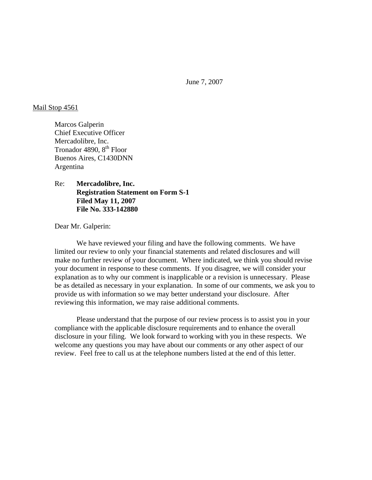June 7, 2007

#### Mail Stop 4561

Marcos Galperin Chief Executive Officer Mercadolibre, Inc. Tronador 4890, 8<sup>th</sup> Floor Buenos Aires, C1430DNN Argentina

Re: **Mercadolibre, Inc. Registration Statement on Form S-1 Filed May 11, 2007 File No. 333-142880** 

Dear Mr. Galperin:

 We have reviewed your filing and have the following comments. We have limited our review to only your financial statements and related disclosures and will make no further review of your document. Where indicated, we think you should revise your document in response to these comments. If you disagree, we will consider your explanation as to why our comment is inapplicable or a revision is unnecessary. Please be as detailed as necessary in your explanation. In some of our comments, we ask you to provide us with information so we may better understand your disclosure. After reviewing this information, we may raise additional comments.

 Please understand that the purpose of our review process is to assist you in your compliance with the applicable disclosure requirements and to enhance the overall disclosure in your filing. We look forward to working with you in these respects. We welcome any questions you may have about our comments or any other aspect of our review. Feel free to call us at the telephone numbers listed at the end of this letter.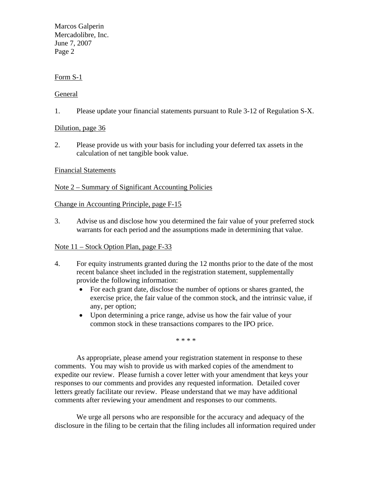Marcos Galperin Mercadolibre, Inc. June 7, 2007 Page 2

# Form S-1

## General

1. Please update your financial statements pursuant to Rule 3-12 of Regulation S-X.

Dilution, page 36

2. Please provide us with your basis for including your deferred tax assets in the calculation of net tangible book value.

### Financial Statements

## Note 2 – Summary of Significant Accounting Policies

### Change in Accounting Principle, page F-15

3. Advise us and disclose how you determined the fair value of your preferred stock warrants for each period and the assumptions made in determining that value.

### Note 11 – Stock Option Plan, page F-33

- 4. For equity instruments granted during the 12 months prior to the date of the most recent balance sheet included in the registration statement, supplementally provide the following information:
	- For each grant date, disclose the number of options or shares granted, the exercise price, the fair value of the common stock, and the intrinsic value, if any, per option;
	- Upon determining a price range, advise us how the fair value of your common stock in these transactions compares to the IPO price.

\* \* \* \*

As appropriate, please amend your registration statement in response to these comments. You may wish to provide us with marked copies of the amendment to expedite our review. Please furnish a cover letter with your amendment that keys your responses to our comments and provides any requested information. Detailed cover letters greatly facilitate our review. Please understand that we may have additional comments after reviewing your amendment and responses to our comments.

We urge all persons who are responsible for the accuracy and adequacy of the disclosure in the filing to be certain that the filing includes all information required under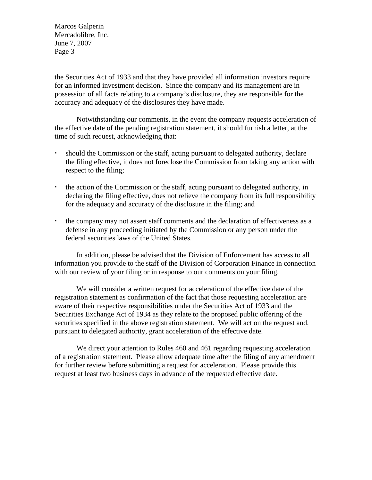Marcos Galperin Mercadolibre, Inc. June 7, 2007 Page 3

the Securities Act of 1933 and that they have provided all information investors require for an informed investment decision. Since the company and its management are in possession of all facts relating to a company's disclosure, they are responsible for the accuracy and adequacy of the disclosures they have made.

Notwithstanding our comments, in the event the company requests acceleration of the effective date of the pending registration statement, it should furnish a letter, at the time of such request, acknowledging that:

- should the Commission or the staff, acting pursuant to delegated authority, declare the filing effective, it does not foreclose the Commission from taking any action with respect to the filing;
- the action of the Commission or the staff, acting pursuant to delegated authority, in declaring the filing effective, does not relieve the company from its full responsibility for the adequacy and accuracy of the disclosure in the filing; and
- the company may not assert staff comments and the declaration of effectiveness as a defense in any proceeding initiated by the Commission or any person under the federal securities laws of the United States.

 In addition, please be advised that the Division of Enforcement has access to all information you provide to the staff of the Division of Corporation Finance in connection with our review of your filing or in response to our comments on your filing.

We will consider a written request for acceleration of the effective date of the registration statement as confirmation of the fact that those requesting acceleration are aware of their respective responsibilities under the Securities Act of 1933 and the Securities Exchange Act of 1934 as they relate to the proposed public offering of the securities specified in the above registration statement. We will act on the request and, pursuant to delegated authority, grant acceleration of the effective date.

We direct your attention to Rules 460 and 461 regarding requesting acceleration of a registration statement. Please allow adequate time after the filing of any amendment for further review before submitting a request for acceleration. Please provide this request at least two business days in advance of the requested effective date.